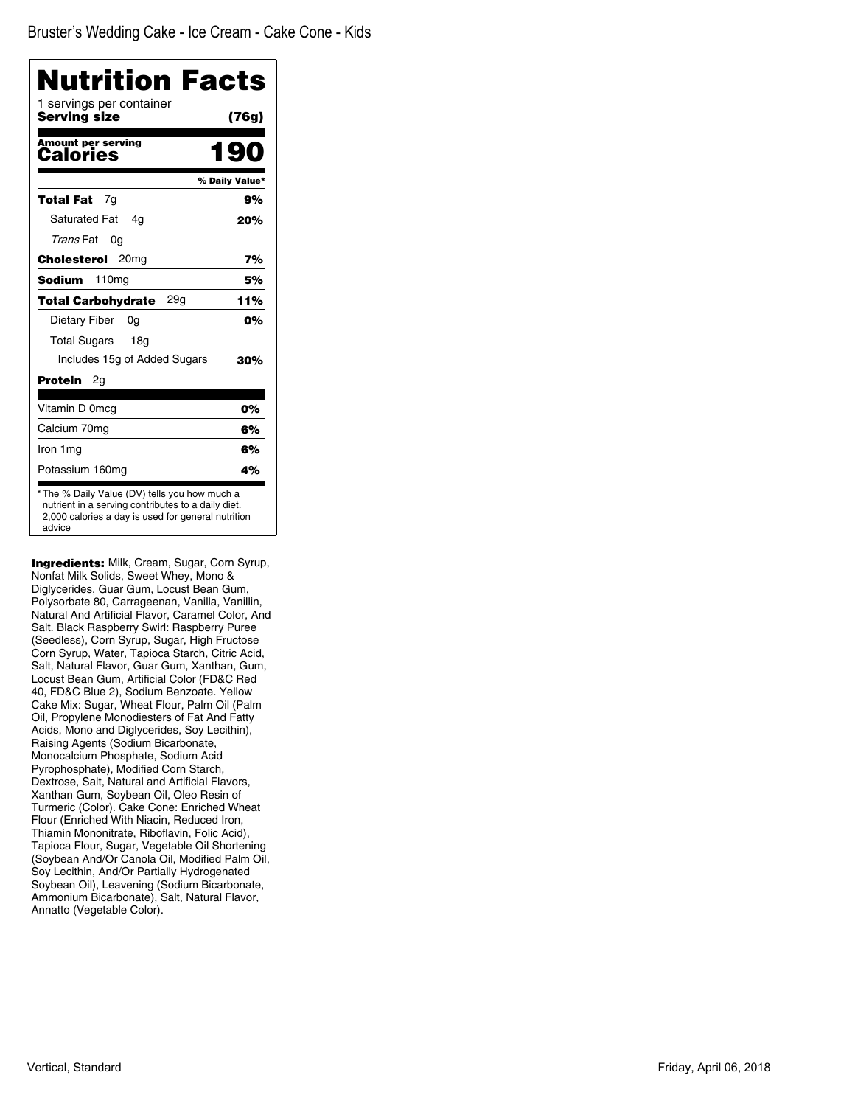| Nutrition Facts<br>1 servings per container |                |
|---------------------------------------------|----------------|
| Serving size                                | (76g)          |
| <b>Amount per serving</b><br>Calories       | 190            |
|                                             | % Daily Value* |
| 7q<br>Total Fat                             | 9%             |
| <b>Saturated Fat</b><br>4q                  | 20%            |
| Trans Fat<br>0g                             |                |
| Cholesterol<br>20 <sub>mg</sub>             | 7%             |
| 110 <sub>mg</sub><br>Sodium                 | 5%             |
| 29g<br><b>Total Carbohvdrate</b>            | 11%            |
| Dietary Fiber<br>0g                         | 0%             |
| <b>Total Sugars</b><br>18 <sub>q</sub>      |                |
| Includes 15g of Added Sugars                | 30%            |
| Protein<br>2g                               |                |
| Vitamin D 0mcg                              | 0%             |
| Calcium 70mg                                | 6%             |
| Iron 1mg                                    | 6%             |
| Potassium 160mg                             | 4%             |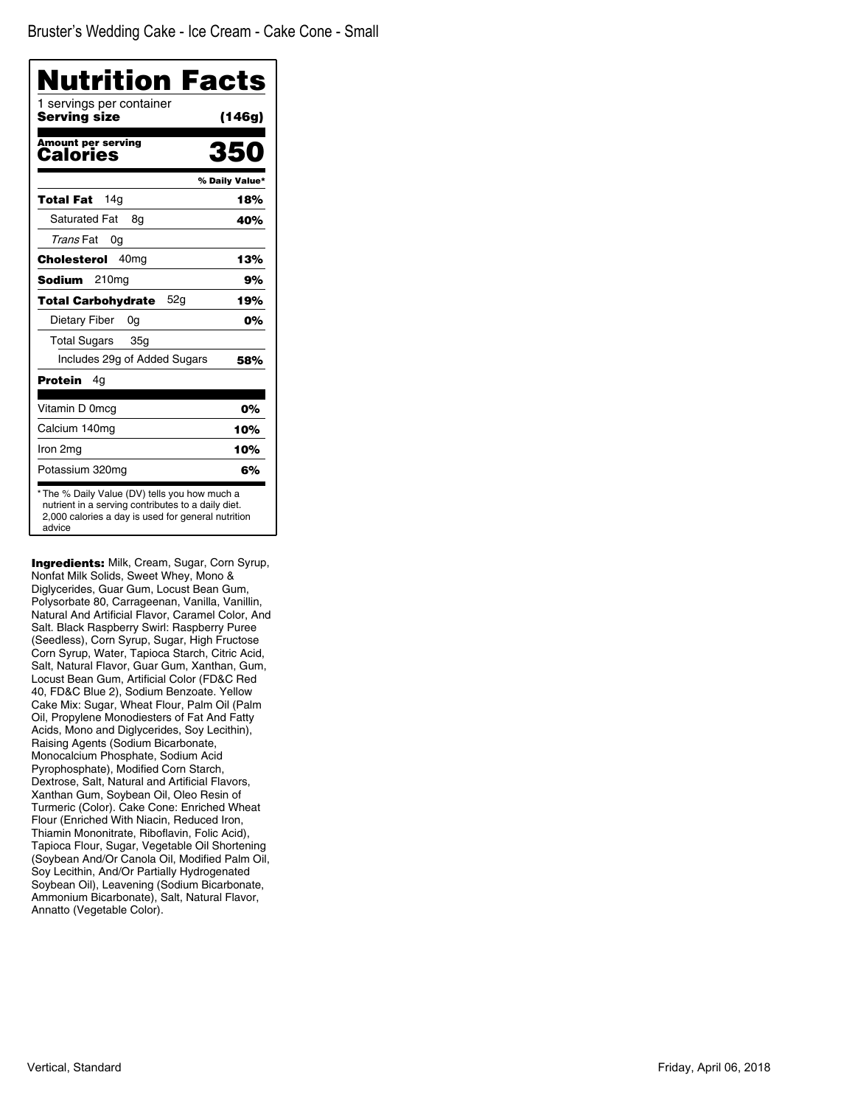| 1 servings per container<br>Serving size | (146g)         |
|------------------------------------------|----------------|
| <b>Amount per serving</b><br>Calories    | 350            |
|                                          | % Daily Value* |
| 14q<br>Total Fat                         | 18%            |
| <b>Saturated Fat</b><br>8g               | 40%            |
| Trans Fat<br>0g                          |                |
| Cholesterol<br>40 <sub>mq</sub>          | 13%            |
| 210mg<br>Sodium                          | 9%             |
| 52g<br><b>Total Carbohydrate</b>         | 19%            |
| Dietary Fiber<br>0g                      | 0%             |
| <b>Total Sugars</b><br>35 <sub>q</sub>   |                |
| Includes 29g of Added Sugars             | 58%            |
| Protein<br>4q                            |                |
| Vitamin D 0mcq                           | 0%             |
| Calcium 140mg                            | 10%            |
| Iron 2mg                                 | 10%            |
| Potassium 320mg                          | 6%             |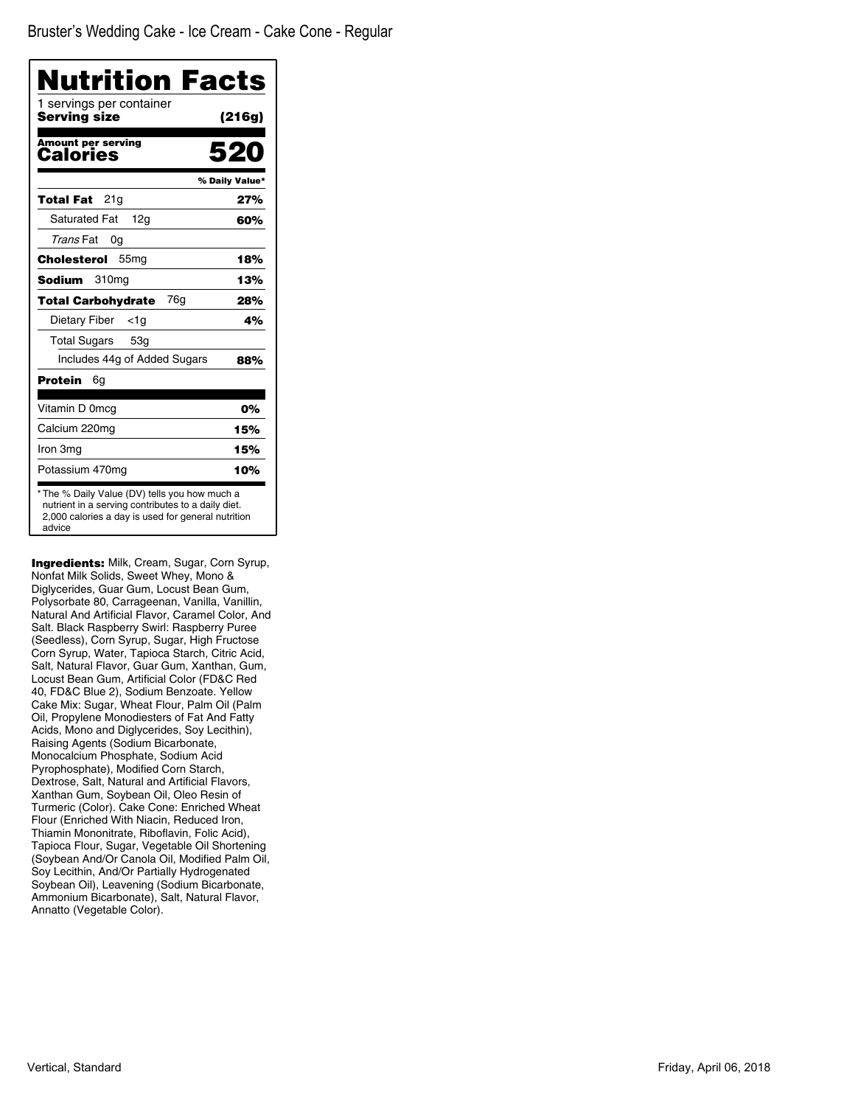| Nutrition Facts<br>1 servings per container |                |
|---------------------------------------------|----------------|
| Serving size                                | (216g)         |
| <b>Amount per serving</b><br>Calories       | 520            |
|                                             | % Daily Value* |
| 21g<br>Total Fat                            | 27%            |
| <b>Saturated Fat</b><br>12g                 | 60%            |
| Trans Fat<br>0g                             |                |
| Cholesterol<br>55 <sub>mg</sub>             | 18%            |
| 310 <sub>mg</sub><br>Sodium                 | 13%            |
| 76g<br><b>Total Carbohydrate</b>            | 28%            |
| Dietary Fiber<br>$<$ 1g                     | 4%             |
| <b>Total Sugars</b><br>53 <sub>q</sub>      |                |
| Includes 44g of Added Sugars                | 88%            |
| Protein<br>6g                               |                |
| Vitamin D 0mcq                              | 0%             |
| Calcium 220mg                               | 15%            |
| Iron 3mg                                    | 15%            |
| Potassium 470mg                             | 10%            |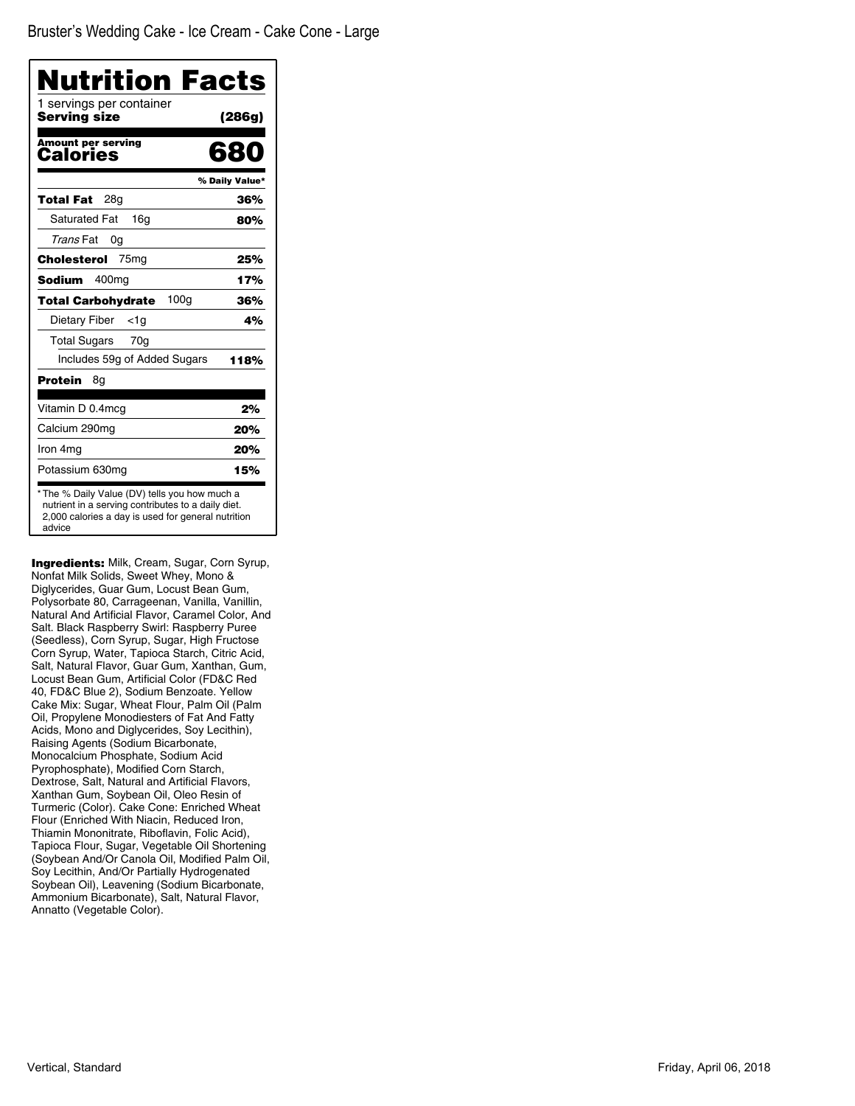| 1 servings per container<br>Serving size      | (286g)         |
|-----------------------------------------------|----------------|
| Amount per serving<br>Calories                | 680            |
|                                               | % Daily Value* |
| 28g<br>Total Fat                              | 36%            |
| <b>Saturated Fat</b><br>16a                   | 80%            |
| Trans Fat<br>0g                               |                |
| 75 <sub>mg</sub><br>Cholesterol               | 25%            |
| 400 <sub>mg</sub><br>Sodium                   | 17%            |
| 100 <sub>q</sub><br><b>Total Carbohydrate</b> | 36%            |
| Dietary Fiber<br><1g                          | 4%             |
| <b>Total Sugars</b><br>70g                    |                |
| Includes 59g of Added Sugars                  | 118%           |
| Protein<br>8g                                 |                |
| Vitamin D 0.4mcg                              | 2%             |
| Calcium 290mg                                 | 20%            |
| Iron 4mg                                      | 20%            |
| Potassium 630mg                               | 15%            |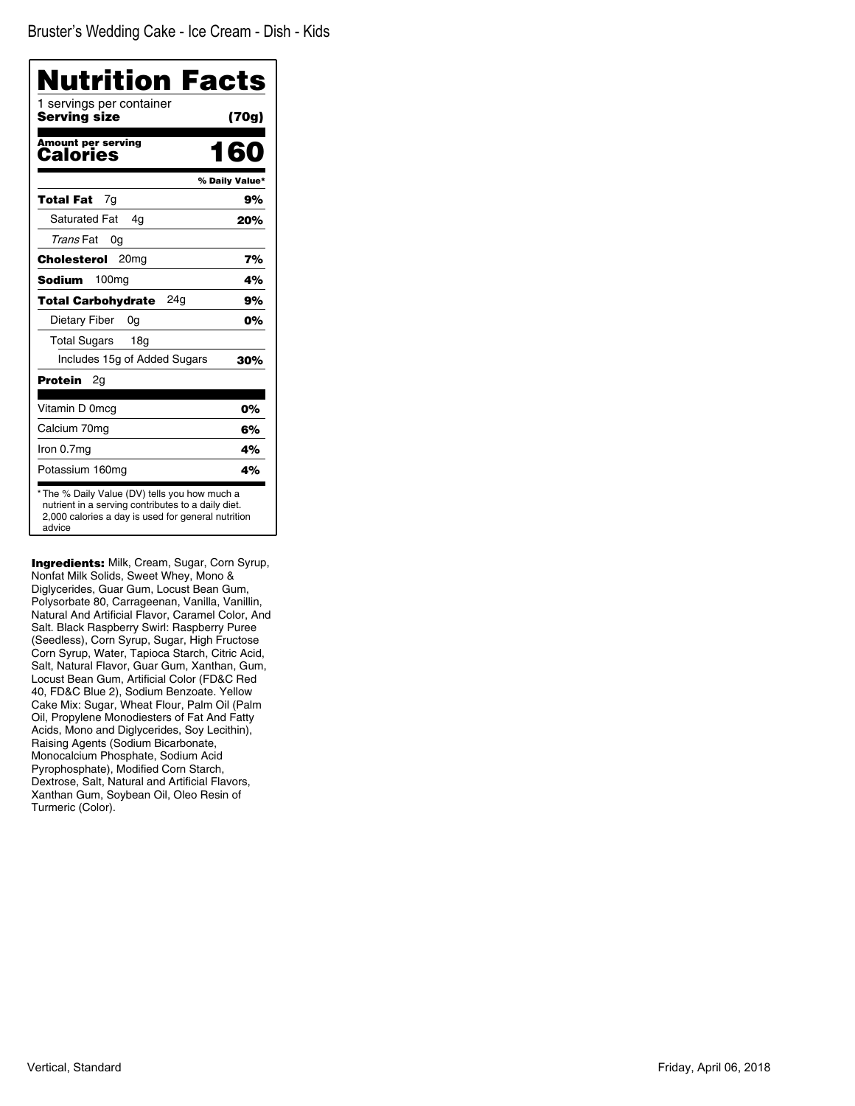| 1 servings per container<br>Serving size | (70g)          |
|------------------------------------------|----------------|
| <b>Amount per serving</b><br>Calories    | 160            |
|                                          | % Daily Value* |
| 7q<br>Total Fat                          | 9%             |
| <b>Saturated Fat</b><br>4q               | 20%            |
| Trans Fat<br>0g                          |                |
| Cholesterol<br>20 <sub>mg</sub>          | 7%             |
| 100 <sub>mg</sub><br>Sodium              | 4%             |
| 24a<br><b>Total Carbohydrate</b>         | 9%             |
| Dietary Fiber<br>0g                      | 0%             |
| <b>Total Sugars</b><br>18g               |                |
| Includes 15g of Added Sugars             | 30%            |
| Protein<br>2g                            |                |
| Vitamin D 0mcg                           | 0%             |
| Calcium 70mg                             | 6%             |
| Iron 0.7mg                               | 4%             |
| Potassium 160mg                          | 4%             |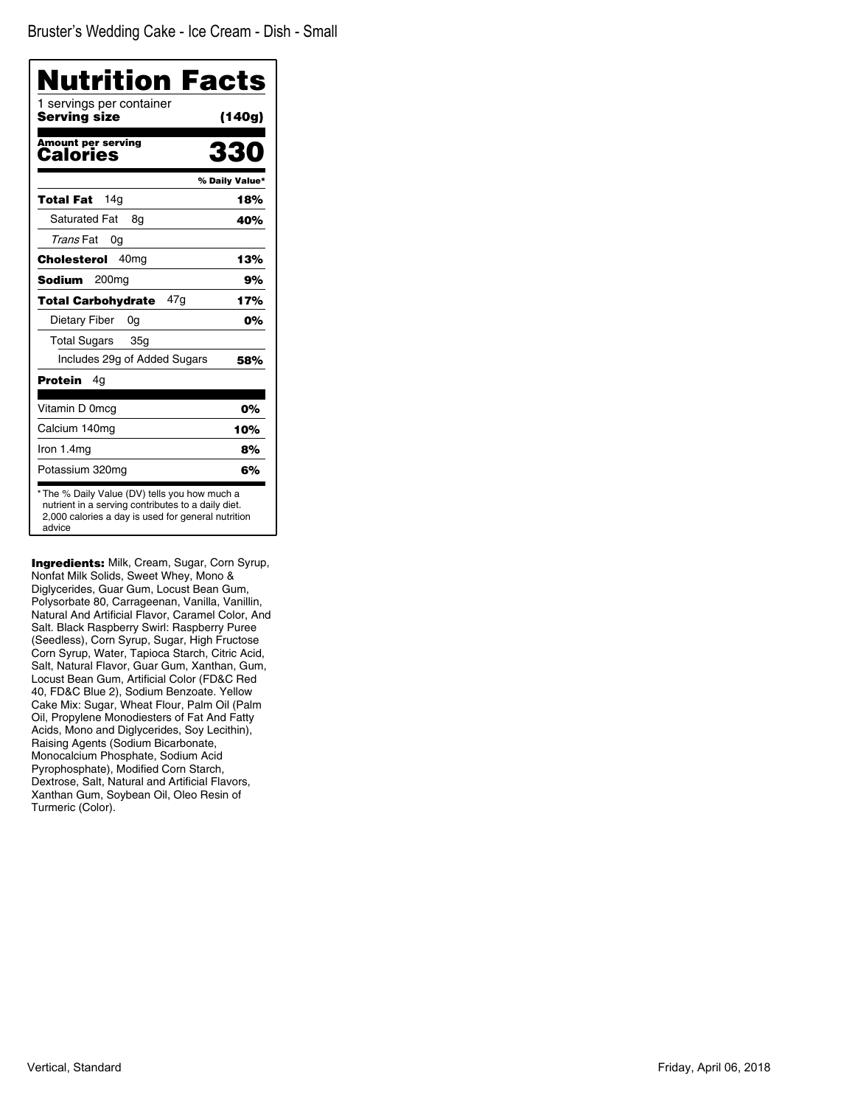| Nutrition Facts<br>1 servings per container<br>Serving size | (140g)         |
|-------------------------------------------------------------|----------------|
| <b>Amount per serving</b><br>Calories                       | 330            |
|                                                             | % Daily Value* |
| 14 <sub>q</sub><br>Total Fat                                | 18%            |
| <b>Saturated Fat</b><br>8g                                  | 40%            |
| Trans Fat<br>0g                                             |                |
| 40 <sub>mg</sub><br>Cholesterol                             | 13%            |
| Sodium<br>200 <sub>mq</sub>                                 | 9%             |
| 47q<br><b>Total Carbohvdrate</b>                            | 17%            |
| Dietary Fiber<br>0g                                         | 0%             |
| <b>Total Sugars</b><br>35 <sub>q</sub>                      |                |
| Includes 29g of Added Sugars                                | 58%            |
| Protein<br>4g                                               |                |
| Vitamin D 0mcg                                              | 0%             |
| Calcium 140mg                                               | 10%            |
| Iron 1.4mg                                                  | 8%             |
| Potassium 320mg                                             | 6%             |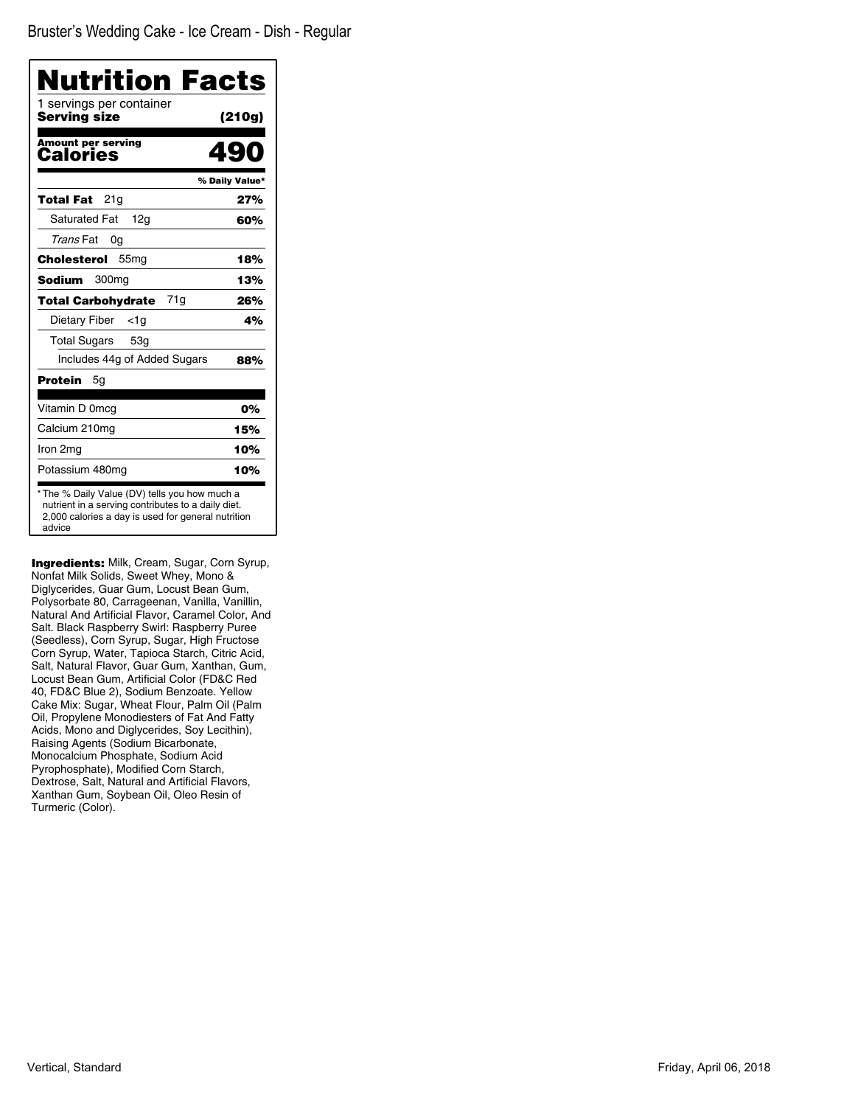| Nutrition Facts<br>1 servings per container |                |
|---------------------------------------------|----------------|
| Serving size                                | (210q)         |
| <b>Amount per serving</b><br>Calories       |                |
|                                             | % Daily Value* |
| 21a<br>Total Fat                            | 27%            |
| <b>Saturated Fat</b><br>12g                 | 60%            |
| Trans Fat<br>0g                             |                |
| Cholesterol<br>55 <sub>mg</sub>             | 18%            |
| Sodium<br>300 <sub>mq</sub>                 | 13%            |
| 71g<br><b>Total Carbohydrate</b>            | 26%            |
| Dietary Fiber<br><1a                        | 4%             |
| <b>Total Sugars</b><br>53 <sub>q</sub>      |                |
| Includes 44g of Added Sugars                | 88%            |
| Protein<br>5g                               |                |
| Vitamin D 0mcg                              | 0%             |
| Calcium 210mg                               | 15%            |
| Iron 2mg                                    | 10%            |
| Potassium 480mg                             | 10%            |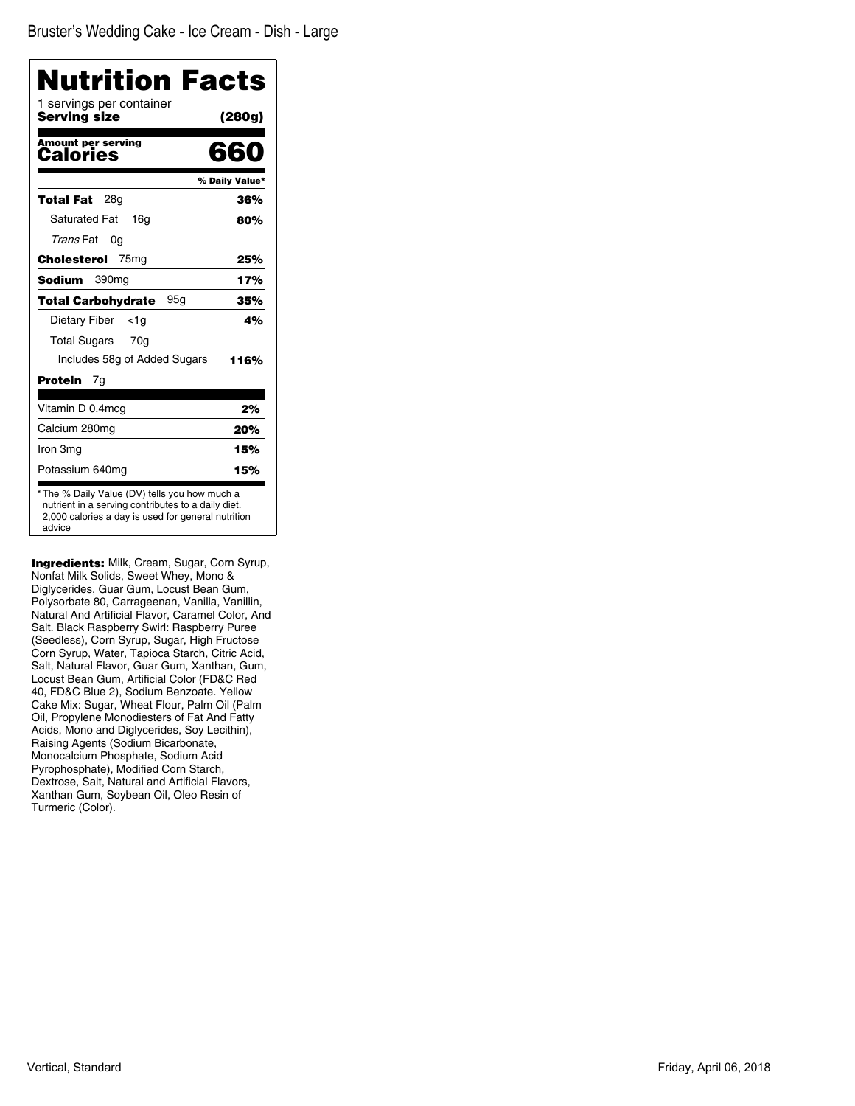| Nutrition Facts<br>1 servings per container |                |
|---------------------------------------------|----------------|
| <b>Serving size</b>                         | (280g)         |
| <b>Amount per serving</b><br>Calories       | 660            |
|                                             | % Daily Value* |
| Total Fat<br>28a                            | 36%            |
| <b>Saturated Fat</b><br>16q                 | 80%            |
| Trans Fat<br>0g                             |                |
| Cholesterol<br>75 <sub>mg</sub>             | 25%            |
| Sodium<br>390 <sub>mq</sub>                 | 17%            |
| 95g<br><b>Total Carbohydrate</b>            | 35%            |
| Dietary Fiber<br>$<$ 1g                     | 4%             |
| Total Sugars<br>70g                         |                |
| Includes 58g of Added Sugars                | 116%           |
| Protein<br>7q                               |                |
| Vitamin D 0.4mcg                            | 2%             |
| Calcium 280mg                               | 20%            |
| Iron 3mg                                    | 15%            |
| Potassium 640mg                             | 15%            |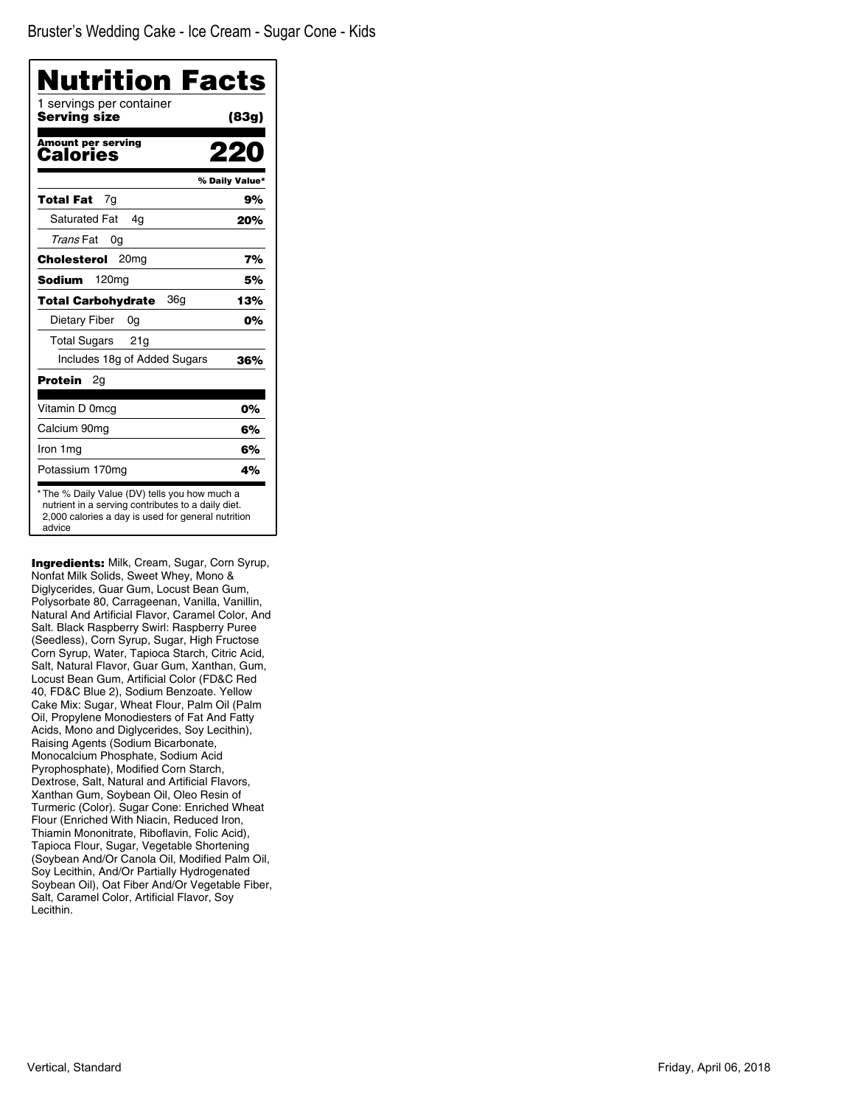| 1 servings per container<br>Serving size | (83g)          |
|------------------------------------------|----------------|
| <b>Amount per serving</b><br>Calories    |                |
|                                          | % Daily Value* |
| 7q<br>Total Fat                          | 9%             |
| <b>Saturated Fat</b><br>4g               | 20%            |
| Trans Fat<br>0g                          |                |
| Cholesterol<br>20 <sub>mq</sub>          | 7%             |
| 120mg<br>Sodium                          | 5%             |
| 36a<br><b>Total Carbohydrate</b>         | 13%            |
| Dietary Fiber<br>0g                      | 0%             |
| <b>Total Sugars</b><br>21g               |                |
| Includes 18g of Added Sugars             | 36%            |
| Protein<br>2g                            |                |
| Vitamin D 0mcg                           | 0%             |
| Calcium 90mg                             | 6%             |
| Iron 1mg                                 | 6%             |
| Potassium 170mg                          | 4%             |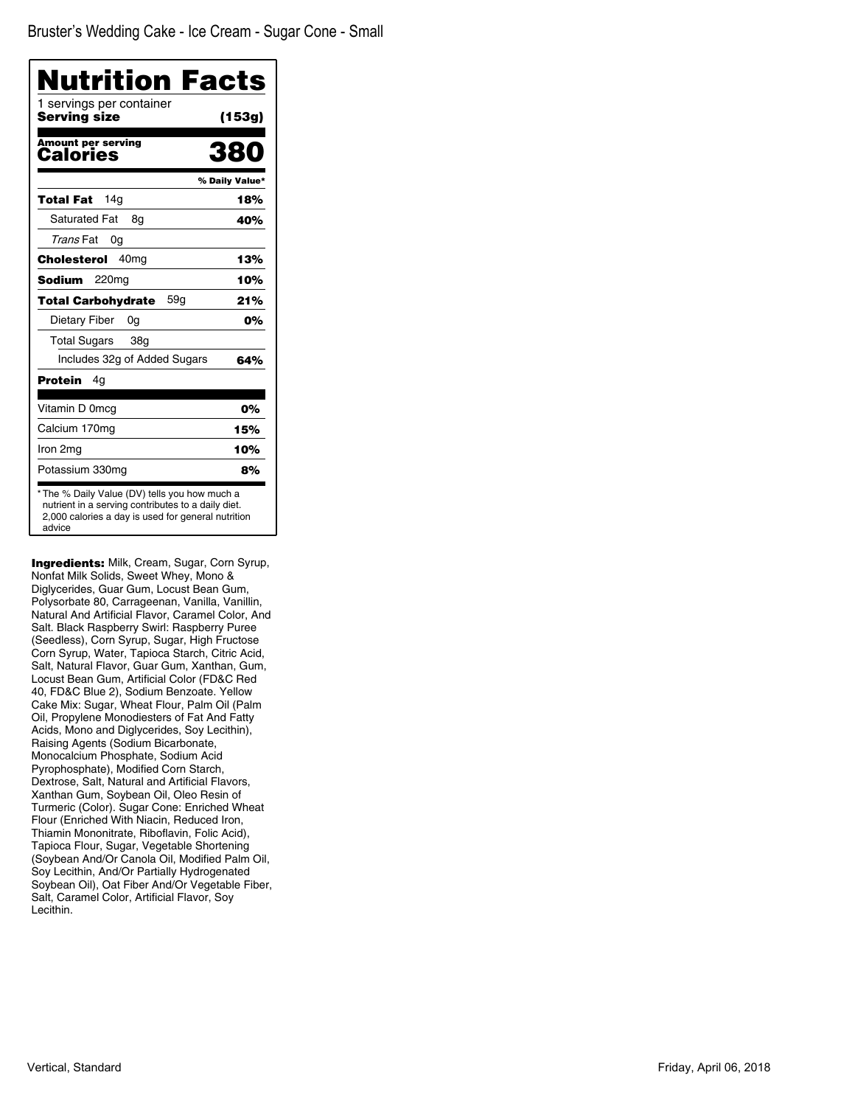| Nutrition Facts<br>1 servings per container<br>Serving size | (153g)         |
|-------------------------------------------------------------|----------------|
| <b>Amount per serving</b>                                   | 380            |
| Calories                                                    |                |
|                                                             | % Daily Value* |
| 14 <sub>q</sub><br>Total Fat                                | 18%            |
| <b>Saturated Fat</b><br>8g                                  | 40%            |
| Trans Fat<br>0g                                             |                |
| 40 <sub>mg</sub><br>Cholesterol                             | 13%            |
| Sodium<br>220 <sub>mq</sub>                                 | 10%            |
| 59q<br><b>Total Carbohydrate</b>                            | 21%            |
| Dietary Fiber<br>0g                                         | 0%             |
| <b>Total Sugars</b><br>38 <sub>q</sub>                      |                |
| Includes 32g of Added Sugars                                | 64%            |
| Protein<br>4g                                               |                |
| Vitamin D 0mcg                                              | 0%             |
| Calcium 170mg                                               | 15%            |
| Iron 2mg                                                    | 10%            |
| Potassium 330mg                                             | 8%             |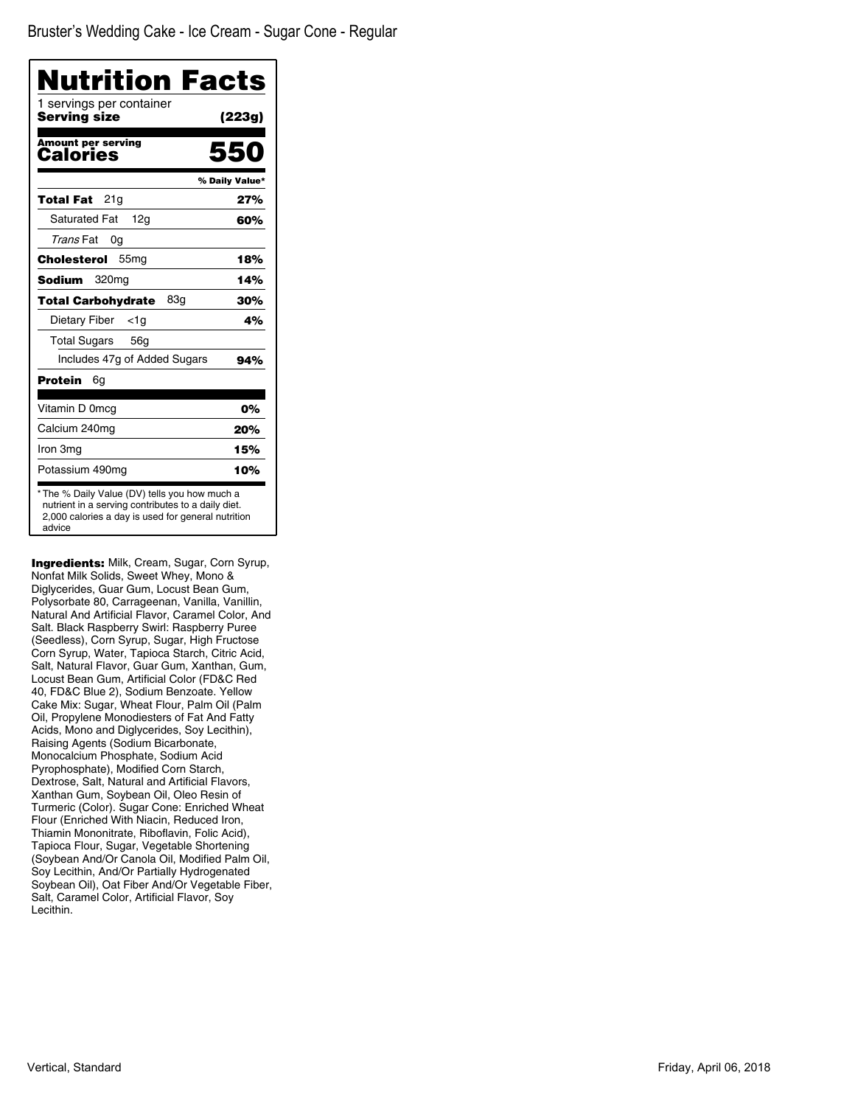| <b>Nutrition Facts</b>                   |                |
|------------------------------------------|----------------|
| 1 servings per container<br>Serving size | (223g)         |
| <b>Amount per serving</b><br>Calories    | 550            |
|                                          | % Daily Value* |
| 21g<br>Total Fat                         | 27%            |
| <b>Saturated Fat</b><br>12g              | 60%            |
| Trans Fat<br>0g                          |                |
| Cholesterol<br>55 <sub>mg</sub>          | 18%            |
| Sodium<br>320 <sub>mg</sub>              | 14%            |
| 83a<br><b>Total Carbohydrate</b>         | 30%            |
| Dietary Fiber<br>$<$ 1g                  | 4%             |
| <b>Total Sugars</b><br>56g               |                |
| Includes 47g of Added Sugars             | 94%            |
| Protein<br>6g                            |                |
| Vitamin D 0mcq                           | 0%             |
| Calcium 240mg                            | 20%            |
| Iron 3mg                                 | 15%            |
| Potassium 490mg                          | 10%            |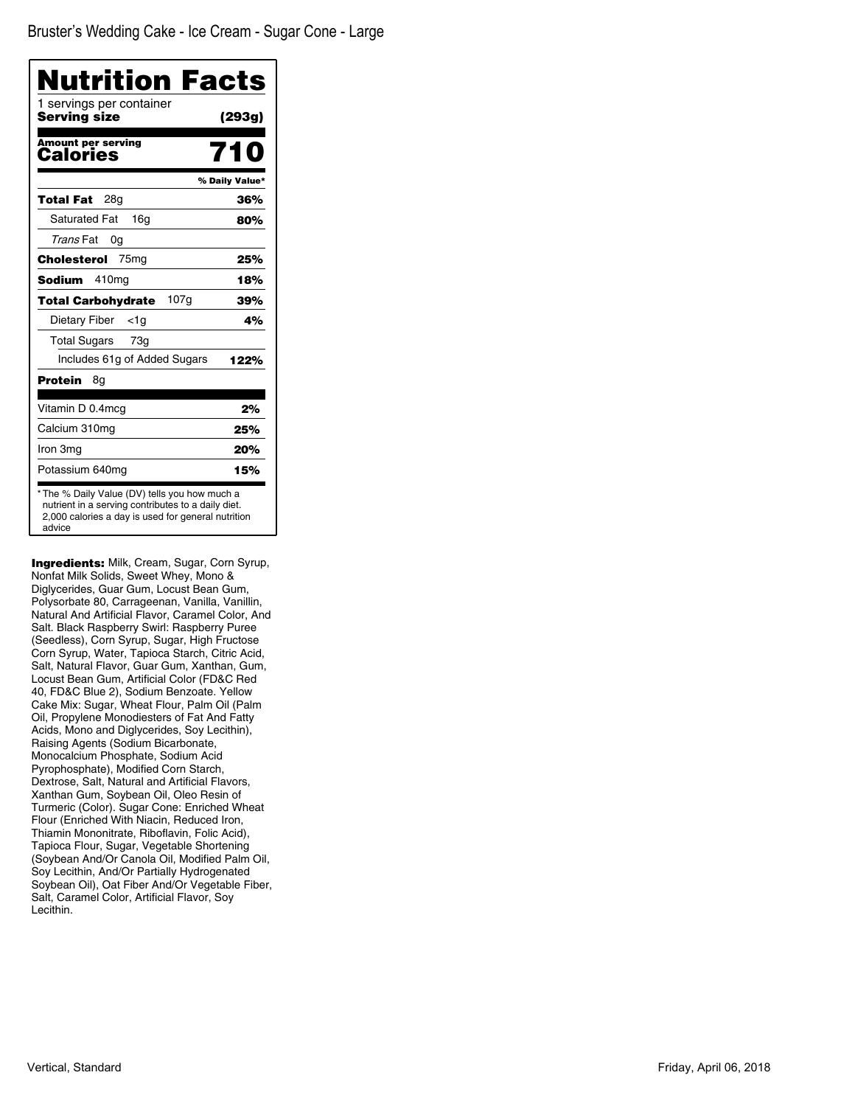| Nutrition Facts<br>1 servings per container |                |
|---------------------------------------------|----------------|
| Serving size                                | (293g)         |
| <b>Amount per serving</b><br>Calories       |                |
|                                             | % Daily Value* |
| 28g<br>Total Fat                            | 36%            |
| <b>Saturated Fat</b><br>16 <sub>q</sub>     | 80%            |
| Trans Fat<br>0g                             |                |
| Cholesterol<br>75 <sub>mg</sub>             | 25%            |
| 410 <sub>mg</sub><br>Sodium                 | 18%            |
| 107g<br><b>Total Carbohydrate</b>           | 39%            |
| Dietary Fiber<br>$<$ 1g                     | 4%             |
| <b>Total Sugars</b><br>73 <sub>q</sub>      |                |
| Includes 61g of Added Sugars                | 122%           |
| Protein<br>8g                               |                |
| Vitamin D 0.4mcg                            | 2%             |
| Calcium 310mg                               | 25%            |
| Iron 3mg                                    | 20%            |
| Potassium 640mg                             | 15%            |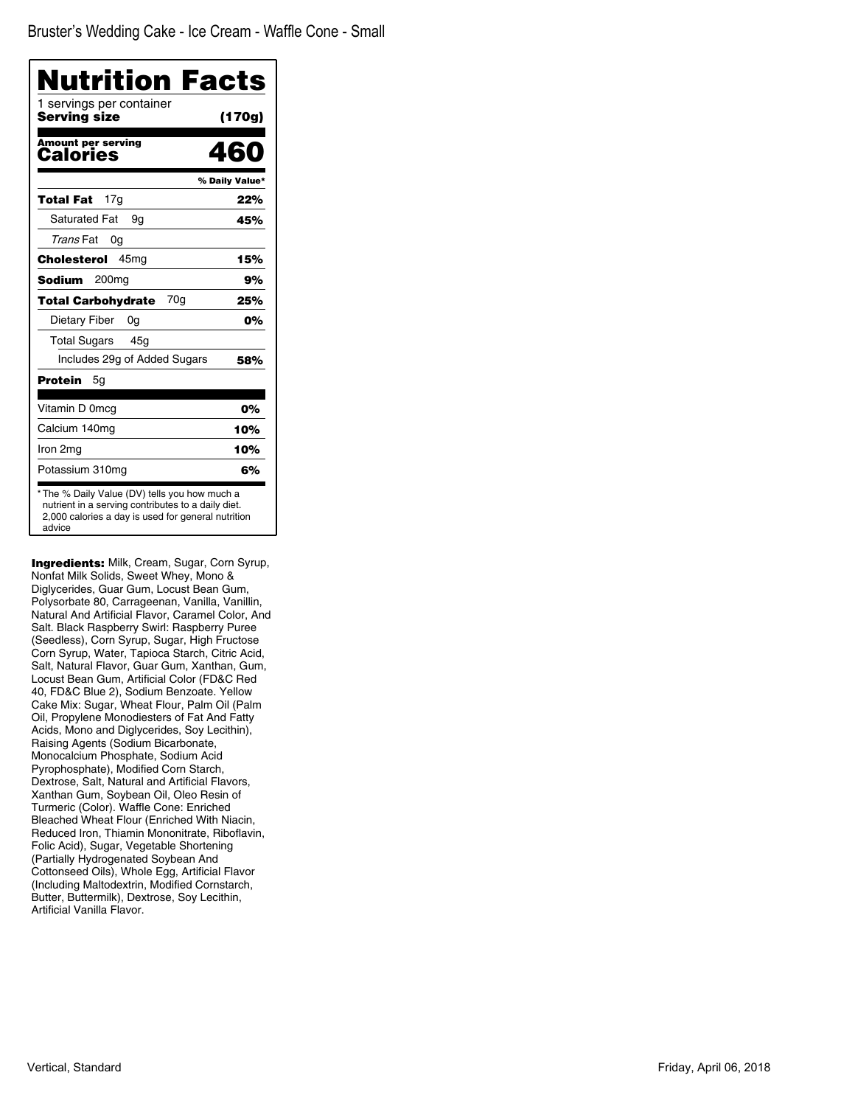| 1 servings per container              | <b>Nutrition Facts</b> |
|---------------------------------------|------------------------|
| Servina size                          | (170g)                 |
| <b>Amount per serving</b><br>Calories | 460                    |
|                                       | % Daily Value*         |
| 17g<br>Total Fat                      | 22%                    |
| <b>Saturated Fat</b><br>9g            | 45%                    |
| Trans Fat<br>0g                       |                        |
| Cholesterol<br>45 <sub>mq</sub>       | 15%                    |
| Sodium<br>200mg                       | 9%                     |
| 70a<br><b>Total Carbohydrate</b>      | 25%                    |
| Dietary Fiber<br>0g                   | 0%                     |
| <b>Total Sugars</b><br>45g            |                        |
| Includes 29g of Added Sugars          | 58%                    |
| Protein<br>5g                         |                        |
| Vitamin D 0mcg                        | 0%                     |
| Calcium 140mg                         | 10%                    |
| Iron 2mg                              | 10%                    |
| Potassium 310mg                       | 6%                     |

Ingredients: Milk, Cream, Sugar, Corn Syrup, Nonfat Milk Solids, Sweet Whey, Mono & Diglycerides, Guar Gum, Locust Bean Gum, Polysorbate 80, Carrageenan, Vanilla, Vanillin, Natural And Artificial Flavor, Caramel Color, And Salt. Black Raspberry Swirl: Raspberry Puree (Seedless), Corn Syrup, Sugar, High Fructose Corn Syrup, Water, Tapioca Starch, Citric Acid, Salt, Natural Flavor, Guar Gum, Xanthan, Gum, Locust Bean Gum, Artificial Color (FD&C Red 40, FD&C Blue 2), Sodium Benzoate. Yellow Cake Mix: Sugar, Wheat Flour, Palm Oil (Palm Oil, Propylene Monodiesters of Fat And Fatty Acids, Mono and Diglycerides, Soy Lecithin), Raising Agents (Sodium Bicarbonate, Monocalcium Phosphate, Sodium Acid Pyrophosphate), Modified Corn Starch, Dextrose, Salt, Natural and Artificial Flavors, Xanthan Gum, Soybean Oil, Oleo Resin of Turmeric (Color). Waffle Cone: Enriched Bleached Wheat Flour (Enriched With Niacin, Reduced Iron, Thiamin Mononitrate, Riboflavin, Folic Acid), Sugar, Vegetable Shortening (Partially Hydrogenated Soybean And Cottonseed Oils), Whole Egg, Artificial Flavor (Including Maltodextrin, Modified Cornstarch, Butter, Buttermilk), Dextrose, Soy Lecithin, Artificial Vanilla Flavor.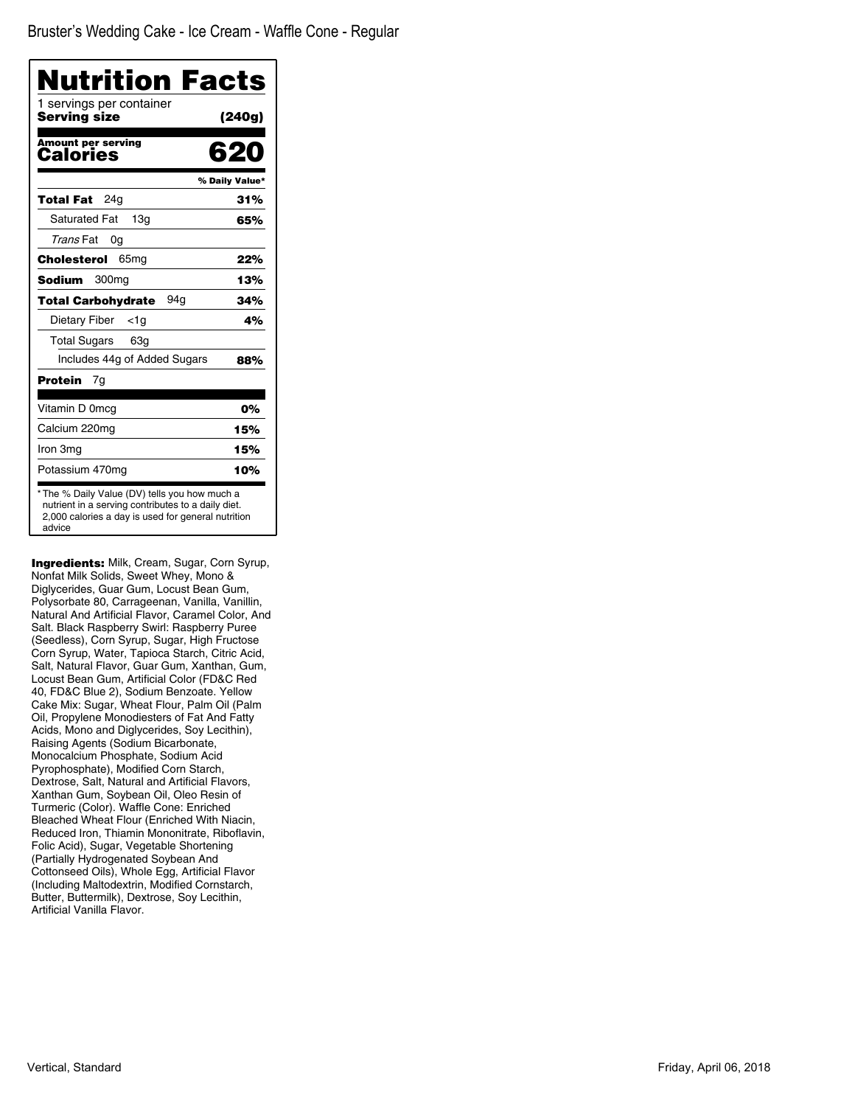| Nutrition Facts<br>1 servings per container |                |
|---------------------------------------------|----------------|
| Serving size                                | (240g)         |
| <b>Amount per serving</b><br>Calories       | 620            |
|                                             | % Daily Value* |
| 24q<br>Total Fat                            | 31%            |
| <b>Saturated Fat</b><br>13 <sub>q</sub>     | 65%            |
| Trans Fat<br>0g                             |                |
| Cholesterol<br>65 <sub>mg</sub>             | 22%            |
| Sodium<br>300 <sub>mq</sub>                 | 13%            |
| 94a<br><b>Total Carbohydrate</b>            | 34%            |
| Dietary Fiber<br><1g                        | 4%             |
| <b>Total Sugars</b><br>63g                  |                |
| Includes 44g of Added Sugars                | 88%            |
| Protein<br>7g                               |                |
| Vitamin D 0mcg                              | 0%             |
| Calcium 220mg                               | 15%            |
| Iron 3mg                                    | 15%            |
| Potassium 470mg                             | 10%            |

Ingredients: Milk, Cream, Sugar, Corn Syrup, Nonfat Milk Solids, Sweet Whey, Mono & Diglycerides, Guar Gum, Locust Bean Gum, Polysorbate 80, Carrageenan, Vanilla, Vanillin, Natural And Artificial Flavor, Caramel Color, And Salt. Black Raspberry Swirl: Raspberry Puree (Seedless), Corn Syrup, Sugar, High Fructose Corn Syrup, Water, Tapioca Starch, Citric Acid, Salt, Natural Flavor, Guar Gum, Xanthan, Gum, Locust Bean Gum, Artificial Color (FD&C Red 40, FD&C Blue 2), Sodium Benzoate. Yellow Cake Mix: Sugar, Wheat Flour, Palm Oil (Palm Oil, Propylene Monodiesters of Fat And Fatty Acids, Mono and Diglycerides, Soy Lecithin), Raising Agents (Sodium Bicarbonate, Monocalcium Phosphate, Sodium Acid Pyrophosphate), Modified Corn Starch, Dextrose, Salt, Natural and Artificial Flavors, Xanthan Gum, Soybean Oil, Oleo Resin of Turmeric (Color). Waffle Cone: Enriched Bleached Wheat Flour (Enriched With Niacin, Reduced Iron, Thiamin Mononitrate, Riboflavin, Folic Acid), Sugar, Vegetable Shortening (Partially Hydrogenated Soybean And Cottonseed Oils), Whole Egg, Artificial Flavor (Including Maltodextrin, Modified Cornstarch, Butter, Buttermilk), Dextrose, Soy Lecithin, Artificial Vanilla Flavor.